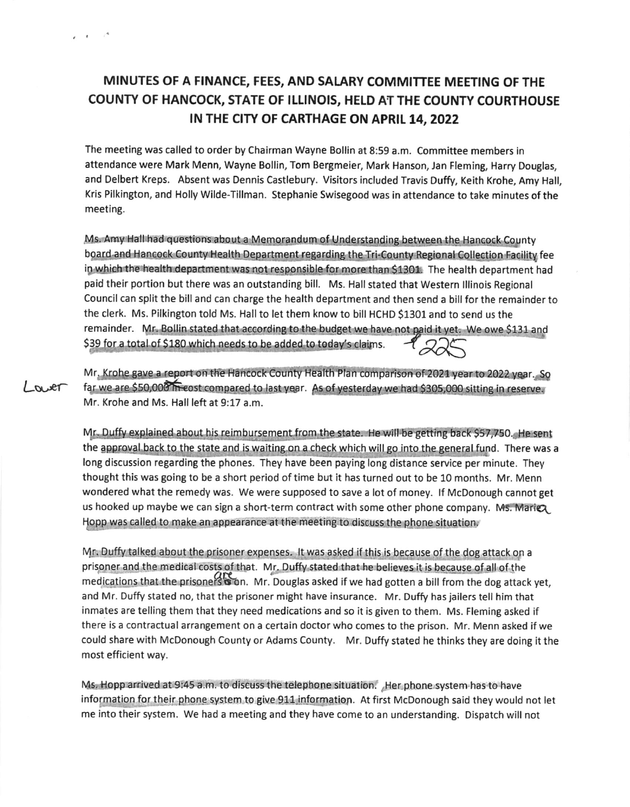## MINUTES OF A FINANCE, FEES, AND SALARY COMMITTEE MEETING OF THE COUNTY OF HANCOCK, STATE OF ILLINOIS, HELD AT THE COUNTY COURTHOUSE IN THE CITY OF CARTHAGE ON APRIL 14, 2022

 $\epsilon$   $\epsilon$   $\epsilon$ 

 $-04.40$ 

The meeting was called to order by Chairman Wayne Bollin at 8:59 a.m. Committee members in attendance were Mark Menn, Wayne Bollin, Tom Bergmeier, Mark Hanson, Jan Fleming, Harry Douglas, and Delbert Kreps. Absent was Dennis Castlebury. Visitors included Travis Duffy, Keith Krohe, Amy Hall, Kris Pilkington, and Holly Wilde-Tillman. Stephanie Swisegood was in attendance to take minutes of the meeting.

Ms. Amy Hall had questions about a Memorandum of Understanding between the Hancock County board and Hancock County Health Department regarding the Tri-County Regional Collection Facility fee in which the health department was not responsible for more than \$1301. The health department had paid their portion but there was an outstanding bill. Ms. Hall stated that Western Illinois Regional Council can split the bill and can charge the health department and then send a bill for the remainder to the clerk. Ms. Pilkington told Ms. Hall to let them know to bill HCHD \$1301 and to send us the remainder. Mr. Bollin stated that according to the budget we have not paid it yet. We owe \$131 and \$39 for a total of \$180 which needs to be added to today's claims.

Mr. Krohe gave a report on the Hancock County Health Plan comparison of 2021 year to 2022 year. So far we are \$50,000 meest compared to last year. As of yesterday we had \$305,000 sitting in reserve. Mr. Krohe and Ms. Hall left at 9:17 a.m.

Mr. Duffy explained about his reimbursement from the state. He will be getting back \$57,750. He sent the approval back to the state and is waiting on a check which will go into the general fund. There was a long discussion regarding the phones. They have been paying long distance service per minute. They thought this was going to be a short period of time but it has turned out to be 10 months. Mr. Menn wondered what the remedy was. We were supposed to save a lot of money. If McDonough cannot get us hooked up maybe we can sign a short-term contract with some other phone company. Ms. Mariex Hopp was called to make an appearance at the meeting to discuss the phone situation.

Mr. Duffy talked about the prisoner expenses. It was asked if this is because of the dog attack on a prisoner and the medical costs of that. Mr. Duffy stated that he believes it is because of all of the medications that the prisoners on. Mr. Douglas asked if we had gotten a bill from the dog attack yet, and Mr. Duffy stated no, that the prisoner might have insurance. Mr. Duffy has jailers tell him that inmates are telling them that they need medications and so it is given to them. Ms. Fleming asked if there is a contractual arrangement on a certain doctor who comes to the prison. Mr. Menn asked if we could share with McDonough County or Adams County. Mr. Duffy stated he thinks they are doing it the most efficient way.

Ms. Hopp arrived at 9:45 a.m. to discuss the telephone situation. Her phone system has to have information for their phone system to give 911 information. At first McDonough said they would not let me into their system. We had a meeting and they have come to an understanding. Dispatch will not